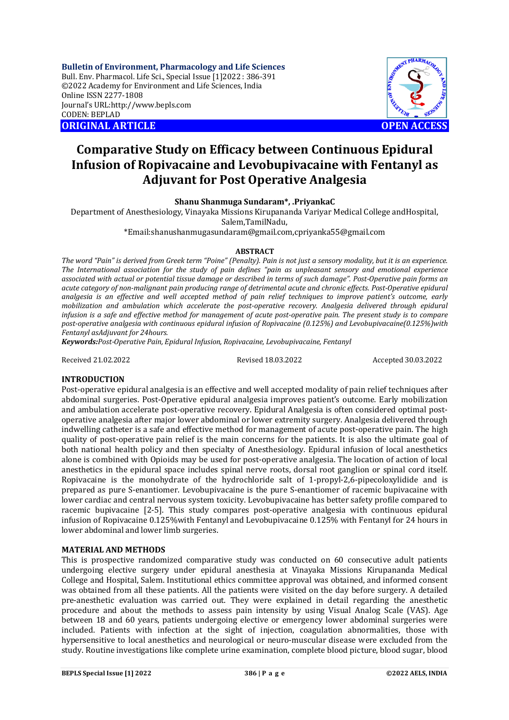**Bulletin of Environment, Pharmacology and Life Sciences** Bull. Env. Pharmacol. Life Sci., Special Issue [1]2022 : 386-391 ©2022 Academy for Environment and Life Sciences, India Online ISSN 2277-1808 Journal's URL:<http://www.bepls.com> CODEN: BEPLAD **ORIGINAL ARTICLE OPEN ACCESS** 

# **Comparative Study on Efficacy between Continuous Epidural Infusion of Ropivacaine and Levobupivacaine with Fentanyl as Adjuvant for Post Operative Analgesia**

**Shanu Shanmuga Sundaram\*, .PriyankaC**

Department of Anesthesiology, Vinayaka Missions Kirupananda Variyar Medical College andHospital, Salem,TamilNadu,

[\\*Email:shanushanmugasundaram@gmail.com,cpriyanka55@gmail.com](mailto:*Email:shanushanmugasundaram@gmail.com,cpriyanka55@gmail.com)

## **ABSTRACT**

*The word "Pain" is derived from Greek term "Poine" (Penalty). Pain is not just a sensory modality, but it is an experience. The International association for the study of pain defines "pain as unpleasant sensory and emotional experience associated with actual or potential tissue damage or described in terms of such damage". Post-Operative pain forms an acute category of non-malignant pain producing range of detrimental acute and chronic effects. Post-Operative epidural analgesia is an effective and well accepted method of pain relief techniques to improve patient's outcome, early mobilization and ambulation which accelerate the post-operative recovery. Analgesia delivered through epidural infusion is a safe and effective method for management of acute post-operative pain. The present study is to compare post-operative analgesia with continuous epidural infusion of Ropivacaine (0.125%) and Levobupivacaine(0.125%)with Fentanyl asAdjuvant for 24hours.*

*Keywords:Post-Operative Pain, Epidural Infusion, Ropivacaine, Levobupivacaine, Fentanyl*

Received 21.02.2022 Revised 18.03.2022 Accepted 30.03.2022

HARMACOLORS

## **INTRODUCTION**

Post-operative epidural analgesia is an effective and well accepted modality of pain relief techniques after abdominal surgeries. Post-Operative epidural analgesia improves patient's outcome. Early mobilization and ambulation accelerate post-operative recovery. Epidural Analgesia is often considered optimal postoperative analgesia after major lower abdominal or lower extremity surgery. Analgesia delivered through indwelling catheter is a safe and effective method for management of acute post-operative pain. The high quality of post-operative pain relief is the main concerns for the patients. It is also the ultimate goal of both national health policy and then specialty of Anesthesiology. Epidural infusion of local anesthetics alone is combined with Opioids may be used for post-operative analgesia. The location of action of local anesthetics in the epidural space includes spinal nerve roots, dorsal root ganglion or spinal cord itself. Ropivacaine is the monohydrate of the hydrochloride salt of 1-propyl-2,6-pipecoloxylidide and is prepared as pure S-enantiomer. Levobupivacaine is the pure S-enantiomer of racemic bupivacaine with lower cardiac and central nervous system toxicity. Levobupivacaine has better safety profile compared to racemic bupivacaine [2-5]. This study compares post-operative analgesia with continuous epidural infusion of Ropivacaine 0.125%with Fentanyl and Levobupivacaine 0.125% with Fentanyl for 24 hours in lower abdominal and lower limb surgeries.

## **MATERIAL AND METHODS**

This is prospective randomized comparative study was conducted on 60 consecutive adult patients undergoing elective surgery under epidural anesthesia at Vinayaka Missions Kirupananda Medical College and Hospital, Salem. Institutional ethics committee approval was obtained, and informed consent was obtained from all these patients. All the patients were visited on the day before surgery. A detailed pre-anesthetic evaluation was carried out. They were explained in detail regarding the anesthetic procedure and about the methods to assess pain intensity by using Visual Analog Scale (VAS). Age between 18 and 60 years, patients undergoing elective or emergency lower abdominal surgeries were included. Patients with infection at the sight of injection, coagulation abnormalities, those with hypersensitive to local anesthetics and neurological or neuro-muscular disease were excluded from the study. Routine investigations like complete urine examination, complete blood picture, blood sugar, blood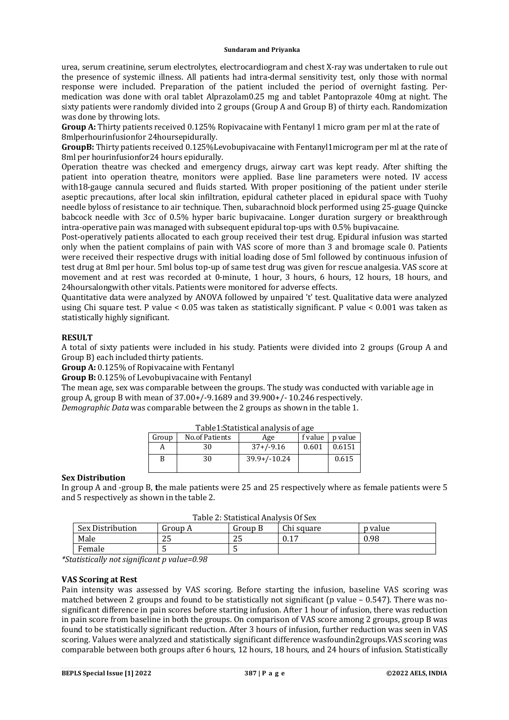urea, serum creatinine, serum electrolytes, electrocardiogram and chest X-ray was undertaken to rule out the presence of systemic illness. All patients had intra-dermal sensitivity test, only those with normal response were included. Preparation of the patient included the period of overnight fasting. Permedication was done with oral tablet Alprazolam0.25 mg and tablet Pantoprazole 40mg at night. The sixty patients were randomly divided into 2 groups (Group A and Group B) of thirty each. Randomization was done by throwing lots.

**Group A:** Thirty patients received 0.125% Ropivacaine with Fentanyl 1 micro gram per ml at the rate of 8mlperhourinfusionfor 24hoursepidurally.

**GroupB:** Thirty patients received 0.125%Levobupivacaine with Fentanyl1microgram per ml at the rate of 8ml per hourinfusionfor24 hours epidurally.

Operation theatre was checked and emergency drugs, airway cart was kept ready. After shifting the patient into operation theatre, monitors were applied. Base line parameters were noted. IV access with18-gauge cannula secured and fluids started. With proper positioning of the patient under sterile aseptic precautions, after local skin infiltration, epidural catheter placed in epidural space with Tuohy needle byloss of resistance to air technique. Then, subarachnoid block performed using 25-guage Quincke babcock needle with 3cc of 0.5% hyper baric bupivacaine. Longer duration surgery or breakthrough intra-operative pain was managed with subsequent epidural top-ups with 0.5% bupivacaine.

Post-operatively patients allocated to each group received their test drug. Epidural infusion was started only when the patient complains of pain with VAS score of more than 3 and bromage scale 0. Patients were received their respective drugs with initial loading dose of 5ml followed by continuous infusion of test drug at 8ml per hour. 5ml bolus top-up of same test drug was given for rescue analgesia. VAS score at movement and at rest was recorded at 0-minute, 1 hour, 3 hours, 6 hours, 12 hours, 18 hours, and 24hoursalongwith other vitals. Patients were monitored for adverse effects.

Quantitative data were analyzed by ANOVA followed by unpaired 't' test. Qualitative data were analyzed using Chi square test. P value < 0.05 was taken as statistically significant. P value < 0.001 was taken as statistically highly significant.

# **RESULT**

A total of sixty patients were included in his study. Patients were divided into 2 groups (Group A and Group B) each included thirty patients.

**Group A:** 0.125% of Ropivacaine with Fentanyl

**Group B:** 0.125% of Levobupivacaine with Fentanyl

The mean age, sex was comparable between the groups. The study was conducted with variable age in group A, group B with mean of 37.00+/-9.1689 and 39.900+/- 10.246 respectively.

*Demographic Data* was comparable between the 2 groups as shown in the table 1.

| Table Estatistical analysis of age |                |                |         |         |
|------------------------------------|----------------|----------------|---------|---------|
| Group                              | No.of Patients | Age            | f value | p value |
|                                    | 30             | $37+/-9.16$    | 0.601   | 0.6151  |
|                                    | 30             | $39.9+/-10.24$ |         | 0.615   |

# Table1:Statistical analysis of age

## **Sex Distribution**

In group A and -group B, **t**he male patients were 25 and 25 respectively where as female patients were 5 and 5 respectively as shown in the table 2.

| Table 2: Statistical Analysis Of Sex |           |         |            |         |
|--------------------------------------|-----------|---------|------------|---------|
| Sex Distribution                     | l Group A | Group B | Chi square | p value |

Male 25 25 0.17 0.98

*\*Statistically not significant p value=0.98*

Female 5 5

## **VAS Scoring at Rest**

Pain intensity was assessed by VAS scoring. Before starting the infusion, baseline VAS scoring was matched between 2 groups and found to be statistically not significant (p value  $-0.547$ ). There was nosignificant difference in pain scores before starting infusion. After 1 hour of infusion, there was reduction in pain score from baseline in both the groups. On comparison of VAS score among 2 groups, group B was found to be statistically significant reduction. After 3 hours of infusion, further reduction was seen in VAS scoring. Values were analyzed and statistically significant difference wasfoundin2groups.VAS scoring was comparable between both groups after 6 hours, 12 hours, 18 hours, and 24 hours of infusion. Statistically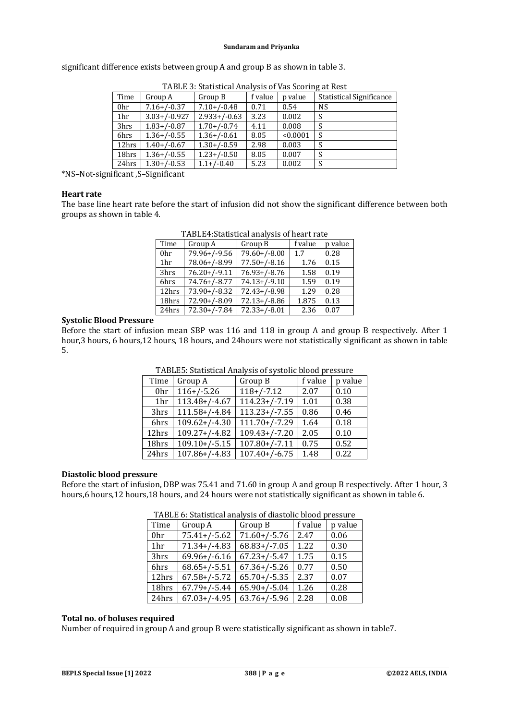|                 |                  | TABLE 3: Statistical Analysis of Vas Scoring at Rest |         |          |                                 |
|-----------------|------------------|------------------------------------------------------|---------|----------|---------------------------------|
| Time            | Group A          | Group B                                              | f value | p value  | <b>Statistical Significance</b> |
| 0hr             | $7.16 + (-0.37)$ | $7.10 + / -0.48$                                     | 0.71    | 0.54     | <b>NS</b>                       |
| 1 <sub>hr</sub> | $3.03+/-0.927$   | $2.933+/-0.63$                                       | 3.23    | 0.002    |                                 |
| 3hrs            | $1.83 + / -0.87$ | $1.70 + (-0.74)$                                     | 4.11    | 0.008    | S                               |
| 6hrs            | $1.36 + / -0.55$ | $1.36+/-0.61$                                        | 8.05    | < 0.0001 | S                               |
| 12hrs           | $1.40 + / -0.67$ | $1.30 + / -0.59$                                     | 2.98    | 0.003    |                                 |
| 18hrs           | $1.36 + / -0.55$ | $1.23 + / -0.50$                                     | 8.05    | 0.007    |                                 |
| 24hrs           | $1.30 + / -0.53$ | $1.1 + (-0.40)$                                      | 5.23    | 0.002    |                                 |

24hrs 1.30+/-0.53 1.1+/-0.40 5.23 0.002 S

significant difference exists between group A and group B as shown in table 3.

\*NS–Not-significant ,S–Significant

#### **Heart rate**

The base line heart rate before the start of infusion did not show the significant difference between both groups as shown in table 4.

|                 | 171DBB7.5tatistical alialysis of fical t fatt |                          |         |         |  |
|-----------------|-----------------------------------------------|--------------------------|---------|---------|--|
| Time            | Group A                                       | Group B                  | f value | p value |  |
| 0 <sub>hr</sub> | 79.96+/-9.56                                  | $79.60 + (-8.00)$        | 1.7     | 0.28    |  |
| 1 <sub>hr</sub> | 78.06+/-8.99                                  | $77.50+/-8.16$           | 1.76    | 0.15    |  |
| 3hrs            | $76.20+/-9.11$                                | $76.93+/-8.76$           | 1.58    | 0.19    |  |
| 6hrs            | $74.76 + (-8.77)$                             | $74.13+/-9.10$           | 1.59    | 0.19    |  |
| 12hrs           | $73.90 + (-8.32)$                             | $72.43 + (-8.98)$        | 1.29    | 0.28    |  |
| 18hrs           | $72.90 + (-8.09)$                             | $72.13 + (-8.86)$        | 1.875   | 0.13    |  |
| 24hrs           | $72.30+/-7.84$                                | $\overline{72.33}/-8.01$ | 2.36    | 0.07    |  |

TABLE4:Statistical analysis of heart rate

# **Systolic Blood Pressure**

Before the start of infusion mean SBP was 116 and 118 in group A and group B respectively. After 1 hour,3 hours, 6 hours,12 hours, 18 hours, and 24hours were not statistically significant as shown in table 5.

| Time            | Group A            | Group B         | f value | p value |
|-----------------|--------------------|-----------------|---------|---------|
| 0hr             | $116+/-5.26$       | $118+/-7.12$    | 2.07    | 0.10    |
| 1 <sub>hr</sub> | $113.48+/-4.67$    | $114.23+/-7.19$ | 1.01    | 0.38    |
| 3hrs            | $111.58+/-4.84$    | $113.23+/-7.55$ | 0.86    | 0.46    |
| 6hrs            | $109.62+/-4.30$    | $111.70+/-7.29$ | 1.64    | 0.18    |
| 12hrs           | $109.27+/-4.82$    | $109.43+/-7.20$ | 2.05    | 0.10    |
| 18hrs           | $109.10+/-5.15$    | $107.80+/-7.11$ | 0.75    | 0.52    |
| 24hrs           | $107.86 + / -4.83$ | $107.40+/-6.75$ | 1.48    | 0.22    |

TABLE5: Statistical Analysis of systolic blood pressure

#### **Diastolic blood pressure**

Before the start of infusion, DBP was 75.41 and 71.60 in group A and group B respectively. After 1 hour, 3 hours,6 hours,12 hours,18 hours, and 24 hours were not statistically significant as shown in table 6.

| Time            | Group A           | Group B           | f value | p value |  |
|-----------------|-------------------|-------------------|---------|---------|--|
| 0hr             | $75.41 + / -5.62$ | $71.60+/-5.76$    | 2.47    | 0.06    |  |
| 1 <sub>hr</sub> | $71.34+/-4.83$    | $68.83+/-7.05$    | 1.22    | 0.30    |  |
| 3hrs            | $69.96 + / -6.16$ | $67.23+/-5.47$    | 1.75    | 0.15    |  |
| 6hrs            | $68.65+/-5.51$    | $67.36 + / -5.26$ | 0.77    | 0.50    |  |
| 12hrs           | $67.58+/-5.72$    | $65.70+/-5.35$    | 2.37    | 0.07    |  |
| 18hrs           | $67.79+/-5.44$    | $65.90+/-5.04$    | 1.26    | 0.28    |  |
| 24hrs           | $67.03 + / -4.95$ | $63.76 + / -5.96$ | 2.28    | 0.08    |  |

TABLE 6: Statistical analysis of diastolic blood pressure

# **Total no. of boluses required**

Number of required in group A and group B were statistically significant as shown in table7.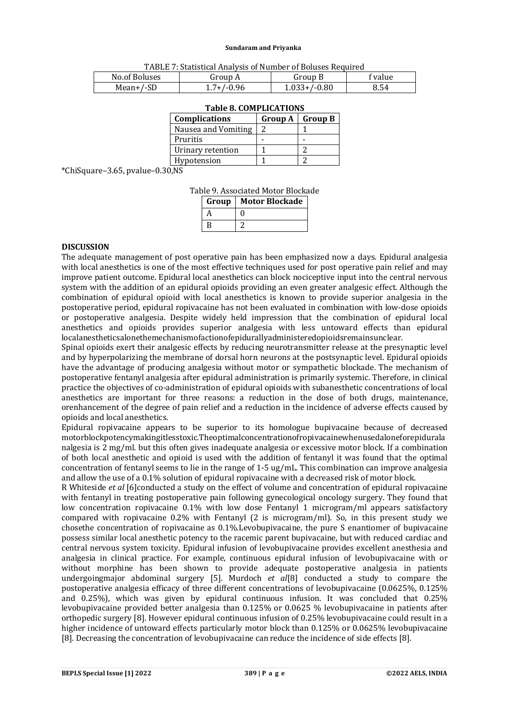| TABLE 7: Statistical Analysis of Number of Boluses Required |  |
|-------------------------------------------------------------|--|
|-------------------------------------------------------------|--|

| No.of Boluses  | Group A    | Group B  | <b>value</b> |
|----------------|------------|----------|--------------|
| SD<br>Mean+/-9 | .96<br>. . | 46.0-/+، | გ.54         |

| Complications       | Group A   Group B |
|---------------------|-------------------|
| Nausea and Vomiting |                   |
| Pruritis            |                   |
| Urinary retention   |                   |
| Hypotension         |                   |

## **Table 8. COMPLICATIONS**

\*ChiSquare–3.65, pvalue–0.30,NS

|  | Table 9. Associated Motor Blockade |  |  |
|--|------------------------------------|--|--|
|--|------------------------------------|--|--|

| Group | <b>Motor Blockade</b> |
|-------|-----------------------|
| А     |                       |
| B     |                       |

#### **DISCUSSION**

The adequate management of post operative pain has been emphasized now a days. Epidural analgesia with local anesthetics is one of the most effective techniques used for post operative pain relief and may improve patient outcome. Epidural local anesthetics can block nociceptive input into the central nervous system with the addition of an epidural opioids providing an even greater analgesic effect. Although the combination of epidural opioid with local anesthetics is known to provide superior analgesia in the postoperative period, epidural ropivacaine has not been evaluated in combination with low-dose opioids or postoperative analgesia. Despite widely held impression that the combination of epidural local anesthetics and opioids provides superior analgesia with less untoward effects than epidural localanestheticsalonethemechanismofactionofepidurallyadministeredopioidsremainsunclear.

Spinal opioids exert their analgesic effects by reducing neurotransmitter release at the presynaptic level and by hyperpolarizing the membrane of dorsal horn neurons at the postsynaptic level. Epidural opioids have the advantage of producing analgesia without motor or sympathetic blockade. The mechanism of postoperative fentanyl analgesia after epidural administration is primarily systemic. Therefore, in clinical practice the objectives of co-administration of epidural opioids with subanesthetic concentrations of local anesthetics are important for three reasons: a reduction in the dose of both drugs, maintenance, orenhancement of the degree of pain relief and a reduction in the incidence of adverse effects caused by opioids and local anesthetics.

Epidural ropivacaine appears to be superior to its homologue bupivacaine because of decreased motorblockpotencymakingitlesstoxic.Theoptimalconcentrationofropivacainewhenusedaloneforepidurala nalgesia is 2 mg/ml. but this often gives inadequate analgesia or excessive motor block. If a combination of both local anesthetic and opioid is used with the addition of fentanyl it was found that the optimal concentration of fentanyl seems to lie in the range of 1-5 ug/mL. This combination can improve analgesia and allow the use of a 0.1% solution of epidural ropivacaine with a decreased risk of motor block.

R Whiteside *et al* [6]conducted a study on the effect of volume and concentration of epidural ropivacaine with fentanyl in treating postoperative pain following gynecological oncology surgery. They found that low concentration ropivacaine 0.1% with low dose Fentanyl 1 microgram/ml appears satisfactory compared with ropivacaine 0.2% with Fentanyl (2 is microgram/ml). So, in this present study we chosethe concentration of ropivacaine as 0.1%.Levobupivacaine, the pure S enantiomer of bupivacaine possess similar local anesthetic potency to the racemic parent bupivacaine, but with reduced cardiac and central nervous system toxicity. Epidural infusion of levobupivacaine provides excellent anesthesia and analgesia in clinical practice. For example, continuous epidural infusion of levobupivacaine with or without morphine has been shown to provide adequate postoperative analgesia in patients undergoingmajor abdominal surgery [5]. Murdoch *et al*[8] conducted a study to compare the postoperative analgesia efficacy of three different concentrations of levobupivacaine (0.0625%, 0.125% and 0.25%), which was given by epidural continuous infusion. It was concluded that 0.25% levobupivacaine provided better analgesia than 0.125% or 0.0625 % levobupivacaine in patients after orthopedic surgery [8]. However epidural continuous infusion of 0.25% levobupivacaine could result in a higher incidence of untoward effects particularly motor block than 0.125% or 0.0625% levobupivacaine [8]. Decreasing the concentration of levobupivacaine can reduce the incidence of side effects [8].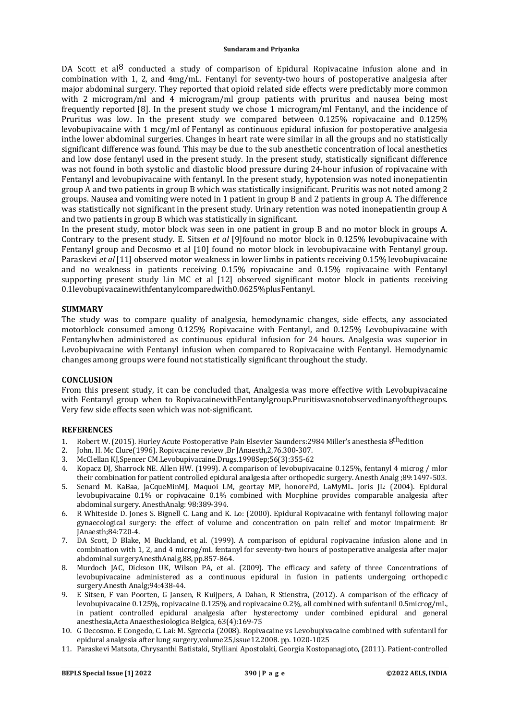DA Scott et al<sup>8</sup> conducted a study of comparison of Epidural Ropivacaine infusion alone and in combination with 1, 2, and 4mg/mL. Fentanyl for seventy-two hours of postoperative analgesia after major abdominal surgery. They reported that opioid related side effects were predictably more common with 2 microgram/ml and 4 microgram/ml group patients with pruritus and nausea being most frequently reported [8]. In the present study we chose 1 microgram/ml Fentanyl, and the incidence of Pruritus was low. In the present study we compared between 0.125% ropivacaine and 0.125% levobupivacaine with 1 mcg/ml of Fentanyl as continuous epidural infusion for postoperative analgesia inthe lower abdominal surgeries. Changes in heart rate were similar in all the groups and no statistically significant difference was found. This may be due to the sub anesthetic concentration of local anesthetics and low dose fentanyl used in the present study. In the present study, statistically significant difference was not found in both systolic and diastolic blood pressure during 24-hour infusion of ropivacaine with Fentanyl and levobupivacaine with fentanyl. In the present study, hypotension was noted inonepatientin group A and two patients in group B which was statistically insignificant. Pruritis was not noted among 2 groups. Nausea and vomiting were noted in 1 patient in group B and 2 patients in group A. The difference was statistically not significant in the present study. Urinary retention was noted inonepatientin group A and two patients in group B which was statistically in significant.

In the present study, motor block was seen in one patient in group B and no motor block in groups A. Contrary to the present study. E. Sitsen *et al* [9]found no motor block in 0.125% levobupivacaine with Fentanyl group and Decosmo et al [10] found no motor block in levobupivacaine with Fentanyl group. Paraskevi *et al* [11] observed motor weakness in lower limbs in patients receiving 0.15% levobupivacaine and no weakness in patients receiving 0.15% ropivacaine and 0.15% ropivacaine with Fentanyl supporting present study Lin MC et al [12] observed significant motor block in patients receiving 0.1levobupivacainewithfentanylcomparedwith0.0625%plusFentanyl.

#### **SUMMARY**

The study was to compare quality of analgesia, hemodynamic changes, side effects, any associated motorblock consumed among 0.125% Ropivacaine with Fentanyl, and 0.125% Levobupivacaine with Fentanylwhen administered as continuous epidural infusion for 24 hours. Analgesia was superior in Levobupivacaine with Fentanyl infusion when compared to Ropivacaine with Fentanyl. Hemodynamic changes among groups were found not statistically significant throughout the study.

## **CONCLUSION**

From this present study, it can be concluded that, Analgesia was more effective with Levobupivacaine with Fentanyl group when to RopivacainewithFentanylgroup.Pruritiswasnotobservedinanyofthegroups. Very few side effects seen which was not-significant.

## **REFERENCES**

- 1. Robert W. (2015). Hurley Acute Postoperative Pain Elsevier Saunders:2984 Miller's anesthesia 8thedition
- 2. John. H. Mc Clure(1996). Ropivacaine review ,Br JAnaesth,2,76.300-307.
- 3. McClellan KJ,Spencer CM.Levobupivacaine.Drugs.1998Sep;56(3):355-62
- 4. Kopacz DJ, Sharrock NE. Allen HW. (1999). A comparison of levobupivacaine 0.125%, fentanyl 4 microg / mlor their combination for patient controlled epidural analgesia after orthopedic surgery. Anesth Analg ;89:1497-503.
- 5. Senard M. KaBaa, JaCqueMinMJ, Maquoi LM, geortay MP, honorePd, LaMyML. Joris JL: (2004). Epidural levobupivacaine 0.1% or ropivacaine 0.1% combined with Morphine provides comparable analgesia after abdominal surgery. AnesthAnalg: 98:389-394.
- 6. R Whiteside D. Jones S. Bignell C. Lang and K. Lo: (2000). Epidural Ropivacaine with fentanyl following major gynaecological surgery: the effect of volume and concentration on pain relief and motor impairment: Br JAnaesth;84:720-4.
- 7. DA Scott, D Blake, M Buckland, et al. (1999). A comparison of epidural ropivacaine infusion alone and in combination with 1, 2, and 4 microg/mL fentanyl for seventy-two hours of postoperative analgesia after major abdominal surgeryAnesthAnalg,88, pp.857-864.
- 8. Murdoch JAC, Dickson UK, Wilson PA, et al. (2009). The efficacy and safety of three Concentrations of levobupivacaine administered as a continuous epidural in fusion in patients undergoing orthopedic surgery.Anesth Analg;94:438-44.
- 9. E Sitsen, F van Poorten, G Jansen, R Kuijpers, A Dahan, R Stienstra, (2012). A comparison of the efficacy of levobupivacaine 0.125%, ropivacaine 0.125% and ropivacaine 0.2%, all combined with sufentanil 0.5microg/mL, in patient controlled epidural analgesia after hysterectomy under combined epidural and general anesthesia,Acta Anaesthesiologica Belgica, 63(4):169-75
- 10. G Decosmo. E Congedo, C. Lai: M. Sgreccia (2008). Ropivacaine vs Levobupivacaine combined with sufentanil for epidural analgesia after lung surgery,volume25,issue12.2008. pp. 1020-1025
- 11. Paraskevi Matsota, Chrysanthi Batistaki, Stylliani Apostolaki, Georgia Kostopanagioto, (2011). Patient-controlled